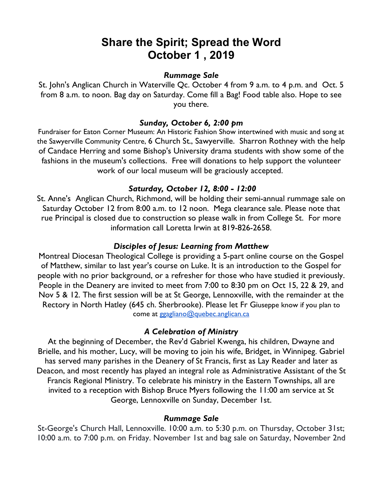# **Share the Spirit; Spread the Word October 1 , 2019**

### *Rummage Sale*

St. John's Anglican Church in Waterville Qc. October 4 from 9 a.m. to 4 p.m. and Oct. 5 from 8 a.m. to noon. Bag day on Saturday. Come fill a Bag! Food table also. Hope to see you there.

## *Sunday, October 6, 2:00 pm*

Fundraiser for Eaton Corner Museum: An Historic Fashion Show intertwined with music and song at the Sawyerville Community Centre, 6 Church St., Sawyerville. Sharron Rothney with the help of Candace Herring and some Bishop's University drama students with show some of the fashions in the museum's collections. Free will donations to help support the volunteer work of our local museum will be graciously accepted.

# *Saturday, October 12, 8:00 - 12:00*

St. Anne's Anglican Church, Richmond, will be holding their semi-annual rummage sale on Saturday October 12 from 8:00 a.m. to 12 noon. Mega clearance sale. Please note that rue Principal is closed due to construction so please walk in from College St. For more information call Loretta Irwin at 819-826-2658.

## *Disciples of Jesus: Learning from Matthew*

Montreal Diocesan Theological College is providing a 5-part online course on the Gospel of Matthew, similar to last year's course on Luke. It is an introduction to the Gospel for people with no prior background, or a refresher for those who have studied it previously. People in the Deanery are invited to meet from 7:00 to 8:30 pm on Oct 15, 22 & 29, and Nov 5 & 12. The first session will be at St George, Lennoxville, with the remainder at the Rectory in North Hatley (645 ch. Sherbrooke). Please let Fr Giuseppe know if you plan to come at ggagliano@quebec.anglican.ca

## *A Celebration of Ministry*

At the beginning of December, the Rev'd Gabriel Kwenga, his children, Dwayne and Brielle, and his mother, Lucy, will be moving to join his wife, Bridget, in Winnipeg. Gabriel has served many parishes in the Deanery of St Francis, first as Lay Reader and later as Deacon, and most recently has played an integral role as Administrative Assistant of the St Francis Regional Ministry. To celebrate his ministry in the Eastern Townships, all are invited to a reception with Bishop Bruce Myers following the 11:00 am service at St George, Lennoxville on Sunday, December 1st.

#### *Rummage Sale*

St-George's Church Hall, Lennoxville. 10:00 a.m. to 5:30 p.m. on Thursday, October 31st; 10:00 a.m. to 7:00 p.m. on Friday. November 1st and bag sale on Saturday, November 2nd